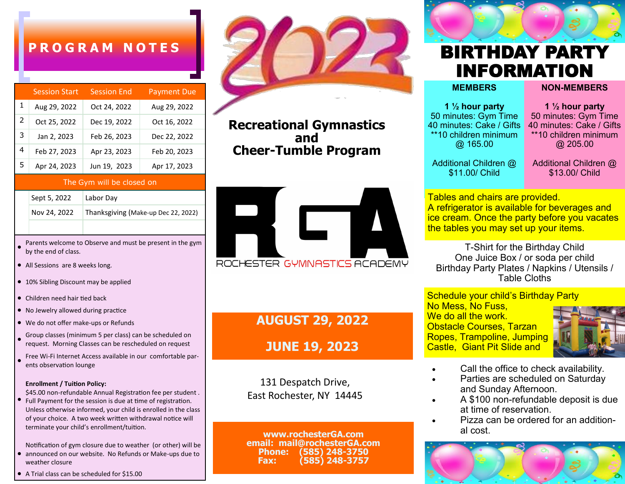## **P R O G R A M N O T E S**

|               | <b>Session Start</b> | <b>Session End</b> | <b>Payment Due</b> |
|---------------|----------------------|--------------------|--------------------|
| 1             | Aug 29, 2022         | Oct 24, 2022       | Aug 29, 2022       |
| $\mathcal{P}$ | Oct 25, 2022         | Dec 19, 2022       | Oct 16, 2022       |
| 3             | Jan 2, 2023          | Feb 26, 2023       | Dec 22, 2022       |
| 4             | Feb 27, 2023         | Apr 23, 2023       | Feb 20, 2023       |
| 5             | Apr 24, 2023         | Jun 19, 2023       | Apr 17, 2023       |

### The Gym will be closed on

| Sept 5, 2022 | Labor Day                           |
|--------------|-------------------------------------|
| Nov 24, 2022 | Thanksgiving (Make-up Dec 22, 2022) |

- Parents welcome to Observe and must be present in the gym by the end of class.
- All Sessions are 8 weeks long.
- 10% Sibling Discount may be applied
- Children need hair tied back
- No Jewelry allowed during practice
- We do not offer make-ups or Refunds
- Group classes (minimum 5 per class) can be scheduled on request. Morning Classes can be rescheduled on request
- Free Wi-Fi Internet Access available in our comfortable parents observation lounge

#### **Enrollment / Tuition Policy:**

● \$45.00 non-refundable Annual Registration fee per student . Full Payment for the session is due at time of registration. Unless otherwise informed, your child is enrolled in the class of your choice. A two week written withdrawal notice will terminate your child's enrollment/tuition.

● Notification of gym closure due to weather (or other) will be announced on our website. No Refunds or Make-ups due to weather closure

● A Trial class can be scheduled for \$15.00



**Recreational Gymnastics and Cheer-Tumble Program**



**AUGUST 29, 2022**

## **JUNE 19, 2023**

131 Despatch Drive, East Rochester, NY 14445

**www.rochesterGA.com email: mail@rochesterGA.com Phone: (585) 248-3750 Fax: (585) 248-3757**

# BIRTHDAY PARTY INFORMATION

**MEMBERS**

**1 ½ hour party**  50 minutes: Gym Time 40 minutes: Cake / Gifts \*\*10 children minimum @ 165.00

**1 ½ hour party**  50 minutes: Gym Time 40 minutes: Cake / Gifts \*\*10 children minimum @ 205.00

**NON-MEMBERS**

Additional Children @ \$11.00/ Child

Additional Children @ \$13.00/ Child

Tables and chairs are provided. A refrigerator is available for beverages and ice cream. Once the party before you vacates the tables you may set up your items.

T-Shirt for the Birthday Child One Juice Box / or soda per child Birthday Party Plates / Napkins / Utensils / Table Cloths

Schedule your child's Birthday Party

No Mess, No Fuss, We do all the work. Obstacle Courses, Tarzan Ropes, Trampoline, Jumping Castle, Giant Pit Slide and



- Call the office to check availability.
- Parties are scheduled on Saturday and Sunday Afternoon.
- A \$100 non-refundable deposit is due at time of reservation.
- Pizza can be ordered for an additional cost.